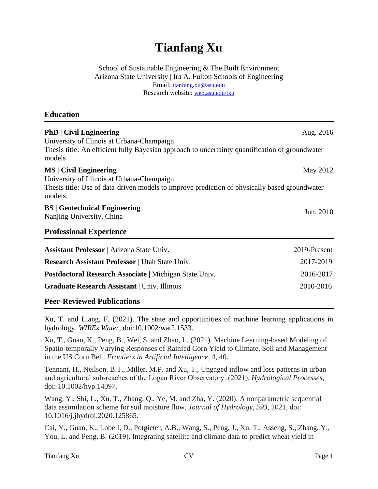# **Tianfang Xu**

School of Sustainable Engineering & The Built Environment Arizona State University | Ira A. Fulton Schools of Engineering Email: [tianfang.xu@asu.edu](mailto:tianfang.xu@asu.edu) Research website: [web.asu.edu/t](http://www.tianfangxu.com/)xu

## **Education**

| <b>PhD</b>   Civil Engineering<br>Aug. 2016<br>University of Illinois at Urbana-Champaign<br>Thesis title: An efficient fully Bayesian approach to uncertainty quantification of groundwater<br>models<br><b>MS</b>   Civil Engineering<br>May 2012<br>University of Illinois at Urbana-Champaign<br>Thesis title: Use of data-driven models to improve prediction of physically based groundwater<br>models. |              |
|---------------------------------------------------------------------------------------------------------------------------------------------------------------------------------------------------------------------------------------------------------------------------------------------------------------------------------------------------------------------------------------------------------------|--------------|
|                                                                                                                                                                                                                                                                                                                                                                                                               |              |
| <b>Professional Experience</b>                                                                                                                                                                                                                                                                                                                                                                                |              |
| <b>Assistant Professor</b>   Arizona State Univ.                                                                                                                                                                                                                                                                                                                                                              | 2019-Present |
| <b>Research Assistant Professor</b>   Utah State Univ.                                                                                                                                                                                                                                                                                                                                                        | 2017-2019    |
| Postdoctoral Research Associate   Michigan State Univ.                                                                                                                                                                                                                                                                                                                                                        | 2016-2017    |
| <b>Graduate Research Assistant</b>   Univ. Illinois                                                                                                                                                                                                                                                                                                                                                           | 2010-2016    |

## **Peer-Reviewed Publications**

Xu, T. and Liang, F. (2021). The state and opportunities of machine learning applications in hydrology. *WIREs Water*, doi:10.1002/wat2.1533.

Xu, T., Guan, K., Peng, B., Wei, S. and Zhao, L. (2021). Machine Learning-based Modeling of Spatio-temporally Varying Responses of Rainfed Corn Yield to Climate, Soil and Management in the US Corn Belt. *Frontiers in Artificial Intelligence*, 4, 40.

Tennant, H., Neilson, B.T., Miller, M.P. and Xu, T., Ungaged inflow and loss patterns in urban and agricultural sub‐reaches of the Logan River Observatory. (2021). *Hydrological Processes*, doi: 10.1002/hyp.14097.

Wang, Y., Shi, L., Xu, T., Zhang, Q., Ye, M. and Zha, Y. (2020). A nonparametric sequential data assimilation scheme for soil moisture flow. *Journal of Hydrology*, *593*, 2021, doi: 10.1016/j.jhydrol.2020.125865.

Cai, Y., Guan, K., Lobell, D., Potgieter, A.B., Wang, S., Peng, J., Xu, T., Asseng, S., Zhang, Y., You, L. and Peng, B. (2019). Integrating satellite and climate data to predict wheat yield in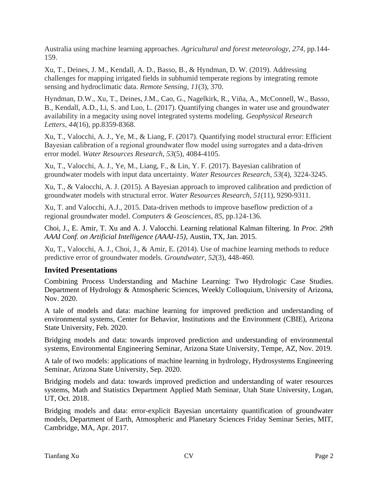Australia using machine learning approaches. *Agricultural and forest meteorology*, *274*, pp.144- 159.

Xu, T., Deines, J. M., Kendall, A. D., Basso, B., & Hyndman, D. W. (2019). Addressing challenges for mapping irrigated fields in subhumid temperate regions by integrating remote sensing and hydroclimatic data. *Remote Sensing*, *11*(3), 370.

Hyndman, D.W., Xu, T., Deines, J.M., Cao, G., Nagelkirk, R., Viña, A., McConnell, W., Basso, B., Kendall, A.D., Li, S. and Luo, L. (2017). Quantifying changes in water use and groundwater availability in a megacity using novel integrated systems modeling. *Geophysical Research Letters*, *44*(16), pp.8359-8368.

Xu, T., Valocchi, A. J., Ye, M., & Liang, F. (2017). Quantifying model structural error: Efficient Bayesian calibration of a regional groundwater flow model using surrogates and a data‐driven error model. *Water Resources Research*, *53*(5), 4084-4105.

Xu, T., Valocchi, A. J., Ye, M., Liang, F., & Lin, Y. F. (2017). Bayesian calibration of groundwater models with input data uncertainty. *Water Resources Research*, *53*(4), 3224-3245.

Xu, T., & Valocchi, A. J. (2015). A Bayesian approach to improved calibration and prediction of groundwater models with structural error. *Water Resources Research*, *51*(11), 9290-9311.

Xu, T. and Valocchi, A.J., 2015. Data-driven methods to improve baseflow prediction of a regional groundwater model. *Computers & Geosciences*, *85*, pp.124-136.

Choi, J., E. Amir, T. Xu and A. J. Valocchi. Learning relational Kalman filtering. In *Proc. 29th AAAI Conf. on Artificial Intelligence (AAAI-15)*, Austin, TX, Jan. 2015.

Xu, T., Valocchi, A. J., Choi, J., & Amir, E. (2014). Use of machine learning methods to reduce predictive error of groundwater models. *Groundwater*, *52*(3), 448-460.

## **Invited Presentations**

Combining Process Understanding and Machine Learning: Two Hydrologic Case Studies. Department of Hydrology & Atmospheric Sciences, Weekly Colloquium, University of Arizona, Nov. 2020.

A tale of models and data: machine learning for improved prediction and understanding of environmental systems, Center for Behavior, Institutions and the Environment (CBIE), Arizona State University, Feb. 2020.

Bridging models and data: towards improved prediction and understanding of environmental systems, Environmental Engineering Seminar, Arizona State University, Tempe, AZ, Nov. 2019.

A tale of two models: applications of machine learning in hydrology, Hydrosystems Engineering Seminar, Arizona State University, Sep. 2020.

Bridging models and data: towards improved prediction and understanding of water resources systems, Math and Statistics Department Applied Math Seminar, Utah State University, Logan, UT, Oct. 2018.

Bridging models and data: error-explicit Bayesian uncertainty quantification of groundwater models, Department of Earth, Atmospheric and Planetary Sciences Friday Seminar Series, MIT, Cambridge, MA, Apr. 2017.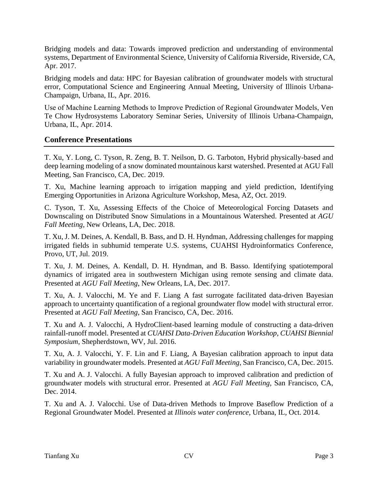Bridging models and data: Towards improved prediction and understanding of environmental systems, Department of Environmental Science, University of California Riverside, Riverside, CA, Apr. 2017.

Bridging models and data: HPC for Bayesian calibration of groundwater models with structural error, Computational Science and Engineering Annual Meeting, University of Illinois Urbana-Champaign, Urbana, IL, Apr. 2016.

Use of Machine Learning Methods to Improve Prediction of Regional Groundwater Models, Ven Te Chow Hydrosystems Laboratory Seminar Series, University of Illinois Urbana-Champaign, Urbana, IL, Apr. 2014.

## **Conference Presentations**

T. Xu, Y. Long, C. Tyson, R. Zeng, B. T. Neilson, D. G. Tarboton, Hybrid physically-based and deep learning modeling of a snow dominated mountainous karst watershed. Presented at AGU Fall Meeting, San Francisco, CA, Dec. 2019.

T. Xu, Machine learning approach to irrigation mapping and yield prediction, Identifying Emerging Opportunities in Arizona Agriculture Workshop, Mesa, AZ, Oct. 2019.

C. Tyson, T. Xu, Assessing Effects of the Choice of Meteorological Forcing Datasets and Downscaling on Distributed Snow Simulations in a Mountainous Watershed. Presented at *AGU Fall Meeting*, New Orleans, LA, Dec. 2018.

T. Xu, J. M. Deines, A. Kendall, B. Bass, and D. H. Hyndman, Addressing challenges for mapping irrigated fields in subhumid temperate U.S. systems, CUAHSI Hydroinformatics Conference, Provo, UT, Jul. 2019.

T. Xu, J. M. Deines, A. Kendall, D. H. Hyndman, and B. Basso. Identifying spatiotemporal dynamics of irrigated area in southwestern Michigan using remote sensing and climate data. Presented at *AGU Fall Meeting*, New Orleans, LA, Dec. 2017.

T. Xu, A. J. Valocchi, M. Ye and F. Liang A fast surrogate facilitated data-driven Bayesian approach to uncertainty quantification of a regional groundwater flow model with structural error. Presented at *AGU Fall Meeting*, San Francisco, CA, Dec. 2016.

T. Xu and A. J. Valocchi, A HydroClient-based learning module of constructing a data-driven rainfall-runoff model. Presented at *CUAHSI Data-Driven Education Workshop, CUAHSI Biennial Symposium*, Shepherdstown, WV, Jul. 2016.

T. Xu, A. J. Valocchi, Y. F. Lin and F. Liang, A Bayesian calibration approach to input data variability in groundwater models. Presented at *AGU Fall Meeting*, San Francisco, CA, Dec. 2015.

T. Xu and A. J. Valocchi. A fully Bayesian approach to improved calibration and prediction of groundwater models with structural error. Presented at *AGU Fall Meeting*, San Francisco, CA, Dec. 2014.

T. Xu and A. J. Valocchi. Use of Data-driven Methods to Improve Baseflow Prediction of a Regional Groundwater Model. Presented at *Illinois water conference*, Urbana, IL, Oct. 2014.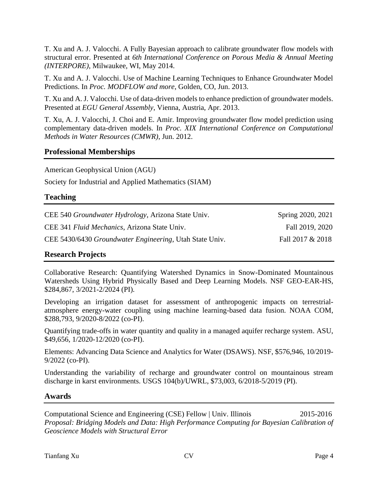T. Xu and A. J. Valocchi. A Fully Bayesian approach to calibrate groundwater flow models with structural error. Presented at *6th International Conference on Porous Media & Annual Meeting (INTERPORE)*, Milwaukee, WI, May 2014.

T. Xu and A. J. Valocchi. Use of Machine Learning Techniques to Enhance Groundwater Model Predictions. In *Proc. MODFLOW and more*, Golden, CO, Jun. 2013.

T. Xu and A. J. Valocchi. Use of data-driven models to enhance prediction of groundwater models. Presented at *EGU General Assembly*, Vienna, Austria, Apr. 2013.

T. Xu, A. J. Valocchi, J. Choi and E. Amir. Improving groundwater flow model prediction using complementary data-driven models. In *Proc. XIX International Conference on Computational Methods in Water Resources (CMWR)*, Jun. 2012.

#### **Professional Memberships**

American Geophysical Union (AGU)

Society for Industrial and Applied Mathematics (SIAM)

#### **Teaching**

| CEE 540 <i>Groundwater Hydrology</i> , Arizona State Univ.      | Spring 2020, 2021 |
|-----------------------------------------------------------------|-------------------|
| CEE 341 Fluid Mechanics, Arizona State Univ.                    | Fall 2019, 2020   |
| CEE 5430/6430 <i>Groundwater Engineering</i> , Utah State Univ. | Fall 2017 & 2018  |

#### **Research Projects**

Collaborative Research: Quantifying Watershed Dynamics in Snow-Dominated Mountainous Watersheds Using Hybrid Physically Based and Deep Learning Models. NSF GEO-EAR-HS, \$284,867, 3/2021-2/2024 (PI).

Developing an irrigation dataset for assessment of anthropogenic impacts on terrestrialatmosphere energy-water coupling using machine learning-based data fusion. NOAA COM, \$288,793, 9/2020-8/2022 (co-PI).

Quantifying trade-offs in water quantity and quality in a managed aquifer recharge system. ASU, \$49,656, 1/2020-12/2020 (co-PI).

Elements: Advancing Data Science and Analytics for Water (DSAWS). NSF, \$576,946, 10/2019- 9/2022 (co-PI).

Understanding the variability of recharge and groundwater control on mountainous stream discharge in karst environments. USGS 104(b)/UWRL, \$73,003, 6/2018-5/2019 (PI).

#### **Awards**

Computational Science and Engineering (CSE) Fellow | Univ. Illinois 2015-2016 *Proposal: Bridging Models and Data: High Performance Computing for Bayesian Calibration of Geoscience Models with Structural Error*